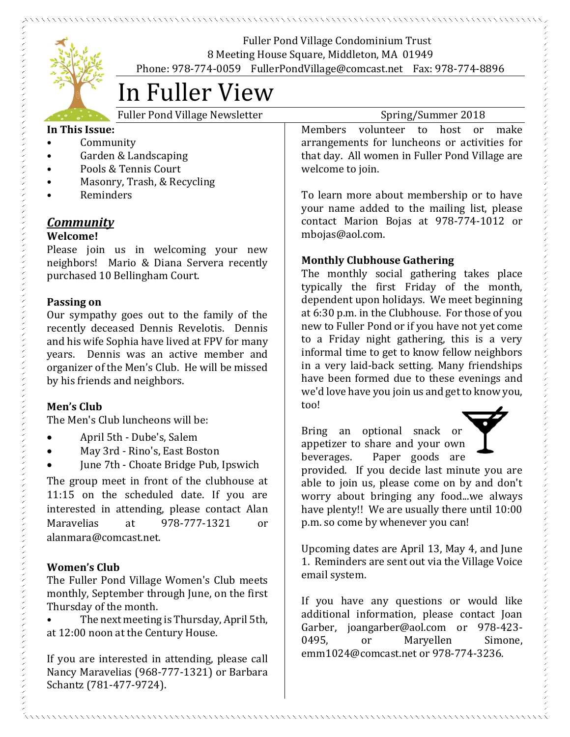

Fuller Pond Village Condominium Trust 8 Meeting House Square, Middleton, MA 01949 Phone: 978-774-0059 FullerPondVillage@comcast.net Fax: 978-774-8896

# In Fuller View

Fuller Pond Village Newsletter Spring/Summer 2018

## **In This Issue:**

- Community
- Garden & Landscaping
- Pools & Tennis Court
- Masonry, Trash, & Recycling
- Reminders

# *Community*

## **Welcome!**

Please join us in welcoming your new neighbors! Mario & Diana Servera recently purchased 10 Bellingham Court.

# **Passing on**

Our sympathy goes out to the family of the recently deceased Dennis Revelotis. Dennis and his wife Sophia have lived at FPV for many years. Dennis was an active member and organizer of the Men's Club. He will be missed by his friends and neighbors.

# **Men's Club**

The Men's Club luncheons will be:

- April 5th Dube's, Salem
- May 3rd Rino's, East Boston
- June 7th Choate Bridge Pub, Ipswich

The group meet in front of the clubhouse at 11:15 on the scheduled date. If you are interested in attending, please contact Alan Maravelias at 978-777-1321 or alanmara@comcast.net.

# **Women's Club**

The Fuller Pond Village Women's Club meets monthly, September through June, on the first Thursday of the month.

• The next meeting is Thursday, April 5th, at 12:00 noon at the Century House.

If you are interested in attending, please call Nancy Maravelias (968-777-1321) or Barbara Schantz (781-477-9724).

Members volunteer to host or make arrangements for luncheons or activities for that day. All women in Fuller Pond Village are welcome to join.

To learn more about membership or to have your name added to the mailing list, please contact Marion Bojas at 978-774-1012 or mbojas@aol.com.

# **Monthly Clubhouse Gathering**

The monthly social gathering takes place typically the first Friday of the month, dependent upon holidays. We meet beginning at 6:30 p.m. in the Clubhouse. For those of you new to Fuller Pond or if you have not yet come to a Friday night gathering, this is a very informal time to get to know fellow neighbors in a very laid-back setting. Many friendships have been formed due to these evenings and we'd love have you join us and get to know you, too!

Bring an optional snack or appetizer to share and your own beverages. Paper goods are

provided. If you decide last minute you are able to join us, please come on by and don't worry about bringing any food...we always have plenty!! We are usually there until 10:00 p.m. so come by whenever you can!

Upcoming dates are April 13, May 4, and June 1. Reminders are sent out via the Village Voice email system.

If you have any questions or would like additional information, please contact Joan Garber, joangarber@aol.com or 978-423- 0495, or Maryellen Simone, emm1024@comcast.net or 978-774-3236.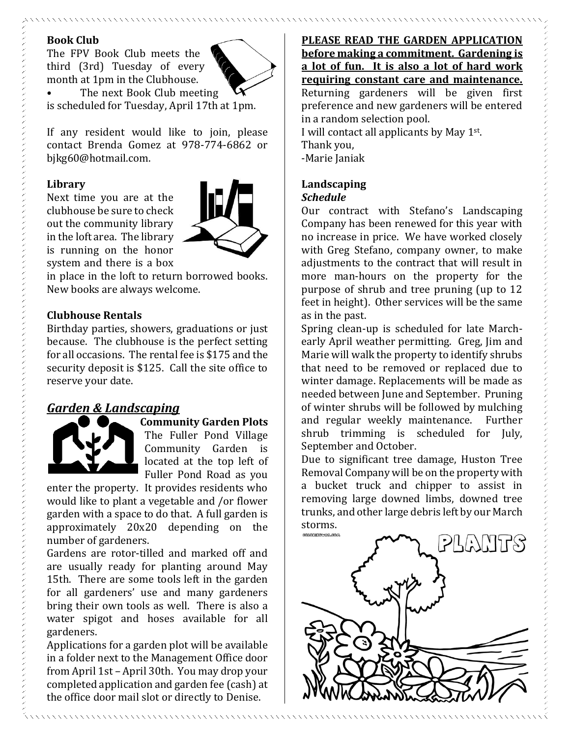#### **Book Club**

The FPV Book Club meets the third (3rd) Tuesday of every month at 1pm in the Clubhouse. The next Book Club meeting



is scheduled for Tuesday, April 17th at 1pm.

If any resident would like to join, please contact Brenda Gomez at 978-774-6862 or bjkg60@hotmail.com.

#### **Library**

Next time you are at the clubhouse be sure to check out the community library in the loft area. The library is running on the honor system and there is a box



in place in the loft to return borrowed books. New books are always welcome.

#### **Clubhouse Rentals**

Birthday parties, showers, graduations or just because. The clubhouse is the perfect setting for all occasions. The rental fee is \$175 and the security deposit is \$125. Call the site office to reserve your date.

# *Garden & Landscaping*



**Community Garden Plots** The Fuller Pond Village Community Garden is

located at the top left of Fuller Pond Road as you

enter the property. It provides residents who would like to plant a vegetable and /or flower garden with a space to do that. A full garden is approximately 20x20 depending on the number of gardeners.

Gardens are rotor-tilled and marked off and are usually ready for planting around May 15th. There are some tools left in the garden for all gardeners' use and many gardeners bring their own tools as well. There is also a water spigot and hoses available for all gardeners.

Applications for a garden plot will be available in a folder next to the Management Office door from April 1st – April 30th. You may drop your completed application and garden fee (cash) at the office door mail slot or directly to Denise.

**PLEASE READ THE GARDEN APPLICATION before making a commitment. Gardening is a lot of fun. It is also a lot of hard work requiring constant care and maintenance.** Returning gardeners will be given first preference and new gardeners will be entered in a random selection pool. I will contact all applicants by May 1st.

Thank you, -Marie Janiak

#### **Landscaping** *Schedule*

Our contract with Stefano's Landscaping Company has been renewed for this year with no increase in price. We have worked closely with Greg Stefano, company owner, to make adjustments to the contract that will result in more man-hours on the property for the purpose of shrub and tree pruning (up to 12 feet in height). Other services will be the same as in the past.

Spring clean-up is scheduled for late Marchearly April weather permitting. Greg, Jim and Marie will walk the property to identify shrubs that need to be removed or replaced due to winter damage. Replacements will be made as needed between June and September. Pruning of winter shrubs will be followed by mulching and regular weekly maintenance. Further shrub trimming is scheduled for July, September and October.

Due to significant tree damage, Huston Tree Removal Company will be on the property with a bucket truck and chipper to assist in removing large downed limbs, downed tree trunks, and other large debris left by our March storms.

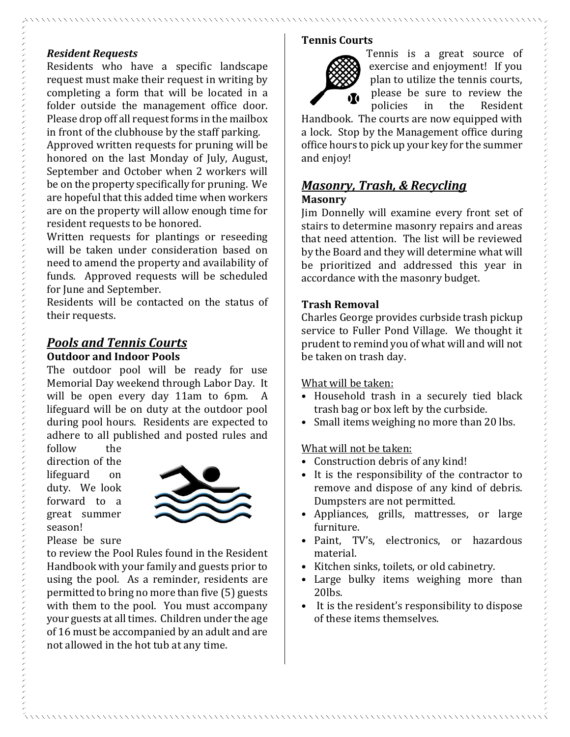## *Resident Requests*

Residents who have a specific landscape request must make their request in writing by completing a form that will be located in a folder outside the management office door. Please drop off all request forms in the mailbox in front of the clubhouse by the staff parking.

Approved written requests for pruning will be honored on the last Monday of July, August, September and October when 2 workers will be on the property specifically for pruning. We are hopeful that this added time when workers are on the property will allow enough time for resident requests to be honored.

Written requests for plantings or reseeding will be taken under consideration based on need to amend the property and availability of funds. Approved requests will be scheduled for June and September.

Residents will be contacted on the status of their requests.

## *Pools and Tennis Courts* **Outdoor and Indoor Pools**

The outdoor pool will be ready for use Memorial Day weekend through Labor Day. It will be open every day 11am to 6pm. A lifeguard will be on duty at the outdoor pool during pool hours. Residents are expected to adhere to all published and posted rules and

follow the direction of the lifeguard on duty. We look forward to a great summer season!



Please be sure

to review the Pool Rules found in the Resident Handbook with your family and guests prior to using the pool. As a reminder, residents are permitted to bring no more than five (5) guests with them to the pool. You must accompany your guests at all times. Children under the age of 16 must be accompanied by an adult and are not allowed in the hot tub at any time.

## **Tennis Courts**



Tennis is a great source of exercise and enjoyment! If you plan to utilize the tennis courts, please be sure to review the policies in the Resident

Handbook. The courts are now equipped with a lock. Stop by the Management office during office hours to pick up your key for the summer and enjoy!

## *Masonry, Trash, & Recycling* **Masonry**

Jim Donnelly will examine every front set of stairs to determine masonry repairs and areas that need attention. The list will be reviewed by the Board and they will determine what will be prioritized and addressed this year in accordance with the masonry budget.

#### **Trash Removal**

Charles George provides curbside trash pickup service to Fuller Pond Village. We thought it prudent to remind you of what will and will not be taken on trash day.

#### What will be taken:

- Household trash in a securely tied black trash bag or box left by the curbside.
- Small items weighing no more than 20 lbs.

## What will not be taken:

- Construction debris of any kind!
- It is the responsibility of the contractor to remove and dispose of any kind of debris. Dumpsters are not permitted.
- Appliances, grills, mattresses, or large furniture.
- Paint, TV's, electronics, or hazardous material.
- Kitchen sinks, toilets, or old cabinetry.
- Large bulky items weighing more than 20lbs.
- It is the resident's responsibility to dispose of these items themselves.